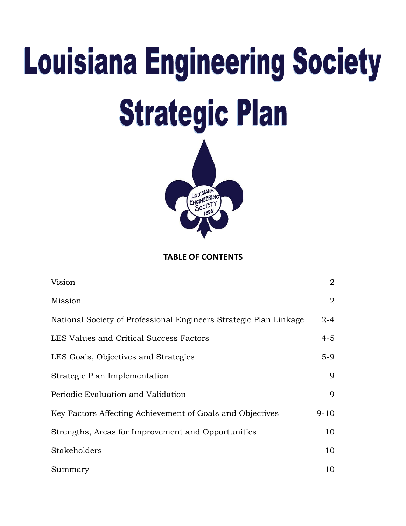# **Louisiana Engineering Society Strategic Plan**



**TABLE OF CONTENTS**

| Vision                                                            | $\overline{2}$ |
|-------------------------------------------------------------------|----------------|
| Mission                                                           | $\overline{2}$ |
| National Society of Professional Engineers Strategic Plan Linkage | $2 - 4$        |
| LES Values and Critical Success Factors                           | $4 - 5$        |
| LES Goals, Objectives and Strategies                              | $5-9$          |
| Strategic Plan Implementation                                     | $\mathbf Q$    |
| Periodic Evaluation and Validation                                | 9              |
| Key Factors Affecting Achievement of Goals and Objectives         | $9 - 10$       |
| Strengths, Areas for Improvement and Opportunities                | 10             |
| Stakeholders                                                      | 10             |
| Summary                                                           | 10             |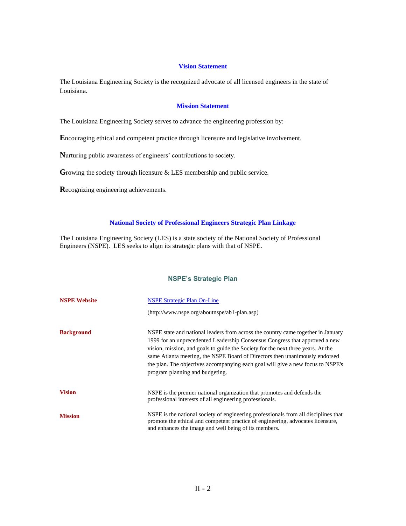# **Vision Statement**

The Louisiana Engineering Society is the recognized advocate of all licensed engineers in the state of Louisiana.

# **Mission Statement**

The Louisiana Engineering Society serves to advance the engineering profession by:

**E**ncouraging ethical and competent practice through licensure and legislative involvement.

**N**urturing public awareness of engineers' contributions to society.

Growing the society through licensure & LES membership and public service.

**R**ecognizing engineering achievements.

# **National Society of Professional Engineers Strategic Plan Linkage**

The Louisiana Engineering Society (LES) is a state society of the National Society of Professional Engineers (NSPE). LES seeks to align its strategic plans with that of NSPE.

# **NSPE's Strategic Plan**

| <b>NSPE Website</b> | <b>NSPE Strategic Plan On-Line</b>                                                                                                                                                                                                                                                                                                                                                                                                                       |
|---------------------|----------------------------------------------------------------------------------------------------------------------------------------------------------------------------------------------------------------------------------------------------------------------------------------------------------------------------------------------------------------------------------------------------------------------------------------------------------|
|                     | $(http://www.nspe.org/aboutnspe/ab1-plan.asp)$                                                                                                                                                                                                                                                                                                                                                                                                           |
| <b>Background</b>   | NSPE state and national leaders from across the country came together in January<br>1999 for an unprecedented Leadership Consensus Congress that approved a new<br>vision, mission, and goals to guide the Society for the next three years. At the<br>same Atlanta meeting, the NSPE Board of Directors then unanimously endorsed<br>the plan. The objectives accompanying each goal will give a new focus to NSPE's<br>program planning and budgeting. |
| <b>Vision</b>       | NSPE is the premier national organization that promotes and defends the<br>professional interests of all engineering professionals.                                                                                                                                                                                                                                                                                                                      |
| <b>Mission</b>      | NSPE is the national society of engineering professionals from all disciplines that<br>promote the ethical and competent practice of engineering, advocates licensure,<br>and enhances the image and well being of its members.                                                                                                                                                                                                                          |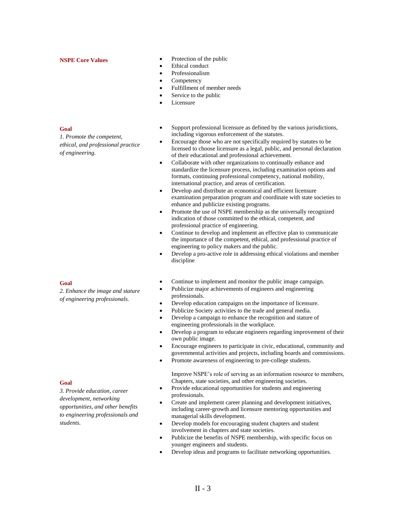*1. Promote the competent, ethical, and professional practice* 

**Goal**

*of engineering.*

- **NSPE Core Values** Protection of the public
	- Ethical conduct
	- Professionalism
	- Competency
	- Fulfillment of member needs
	- Service to the public
	- **Licensure**
	- Support professional licensure as defined by the various jurisdictions, including vigorous enforcement of the statutes.
	- Encourage those who are not specifically required by statutes to be licensed to choose licensure as a legal, public, and personal declaration of their educational and professional achievement.
	- Collaborate with other organizations to continually enhance and standardize the licensure process, including examination options and formats, continuing professional competency, national mobility, international practice, and areas of certification.
	- Develop and distribute an economical and efficient licensure examination preparation program and coordinate with state societies to enhance and publicize existing programs.
	- Promote the use of NSPE membership as the universally recognized indication of those committed to the ethical, competent, and professional practice of engineering.
	- Continue to develop and implement an effective plan to communicate the importance of the competent, ethical, and professional practice of engineering to policy makers and the public.
	- Develop a pro-active role in addressing ethical violations and member discipline
	- Continue to implement and monitor the public image campaign.
	- Publicize major achievements of engineers and engineering professionals.
	- Develop education campaigns on the importance of licensure.
	- Publicize Society activities to the trade and general media.
	- Develop a campaign to enhance the recognition and stature of engineering professionals in the workplace.
	- Develop a program to educate engineers regarding improvement of their own public image.
	- Encourage engineers to participate in civic, educational, community and governmental activities and projects, including boards and commissions.
	- Promote awareness of engineering to pre-college students.

 Improve NSPE's role of serving as an information resource to members, Chapters, state societies, and other engineering societies.

- Provide educational opportunities for students and engineering professionals.
- Create and implement career planning and development initiatives, including career-growth and licensure mentoring opportunities and managerial skills development.
- Develop models for encouraging student chapters and student involvement in chapters and state societies.
- Publicize the benefits of NSPE membership, with specific focus on younger engineers and students.
- Develop ideas and programs to facilitate networking opportunities.

#### **Goal**

**Goal**

*3. Provide education, career development, networking opportunities, and other benefits to engineering professionals and students.*

*2. Enhance the image and stature of engineering professionals.*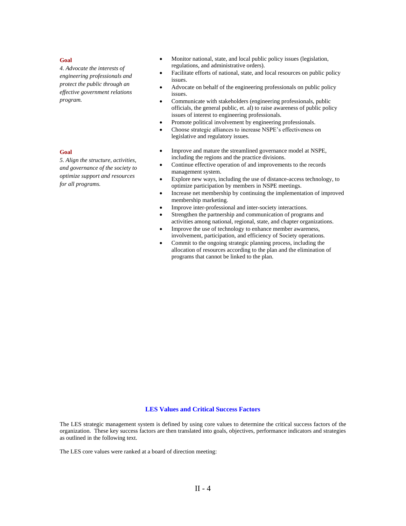#### **Goal**

*4. Advocate the interests of engineering professionals and protect the public through an effective government relations program.*

### **Goal**

*5. Align the structure, activities, and governance of the society to optimize support and resources for all programs.*

- Monitor national, state, and local public policy issues (legislation, regulations, and administrative orders).
- Facilitate efforts of national, state, and local resources on public policy issues.
- Advocate on behalf of the engineering professionals on public policy issues.
- Communicate with stakeholders (engineering professionals, public officials, the general public, et. al) to raise awareness of public policy issues of interest to engineering professionals.
- Promote political involvement by engineering professionals.
- Choose strategic alliances to increase NSPE's effectiveness on legislative and regulatory issues.
- Improve and mature the streamlined governance model at NSPE, including the regions and the practice divisions.
- Continue effective operation of and improvements to the records management system.
- Explore new ways, including the use of distance-access technology, to optimize participation by members in NSPE meetings.
- Increase net membership by continuing the implementation of improved membership marketing.
- Improve inter-professional and inter-society interactions.
- Strengthen the partnership and communication of programs and activities among national, regional, state, and chapter organizations.
- Improve the use of technology to enhance member awareness, involvement, participation, and efficiency of Society operations.
- Commit to the ongoing strategic planning process, including the allocation of resources according to the plan and the elimination of programs that cannot be linked to the plan.

# **LES Values and Critical Success Factors**

The LES strategic management system is defined by using core values to determine the critical success factors of the organization. These key success factors are then translated into goals, objectives, performance indicators and strategies as outlined in the following text.

The LES core values were ranked at a board of direction meeting: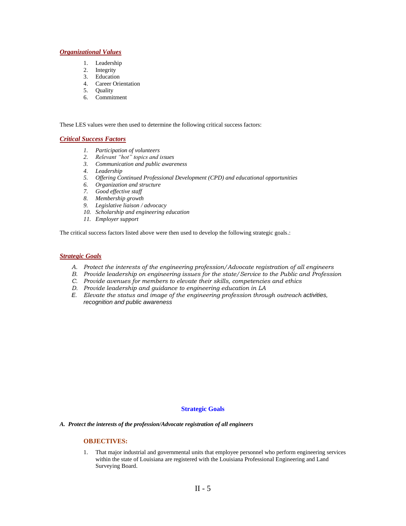# *Organizational Values*

- 1. Leadership
- 2. Integrity
- 3. Education
- 4. Career Orientation
- 5. Quality
- 6. Commitment

These LES values were then used to determine the following critical success factors:

# *Critical Success Factors*

- *1. Participation of volunteers*
- *2. Relevant "hot" topics and issues*
- *3. Communication and public awareness*
- *4. Leadership*
- *5. Offering Continued Professional Development (CPD) and educational opportunities*
- *6. Organization and structure*
- *7. Good effective staff*
- *8. Membership growth*
- *9. Legislative liaison / advocacy*
- *10. Scholarship and engineering education*
- *11. Employer support*

The critical success factors listed above were then used to develop the following strategic goals.:

# *Strategic Goals*

- *A. Protect the interests of the engineering profession/Advocate registration of all engineers*
- *B. Provide leadership on engineering issues for the state/Service to the Public and Profession*
- *C. Provide avenues for members to elevate their skills, competencies and ethics*
- *D. Provide leadership and guidance to engineering education in LA*
- *E. Elevate the status and image of the engineering profession through outreach activities, recognition and public awareness*

# **Strategic Goals**

*A. Protect the interests of the profession/Advocate registration of all engineers* 

# **OBJECTIVES:**

1. That major industrial and governmental units that employee personnel who perform engineering services within the state of Louisiana are registered with the Louisiana Professional Engineering and Land Surveying Board.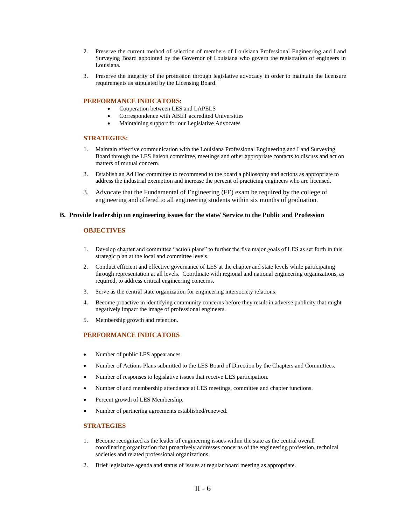- 2. Preserve the current method of selection of members of Louisiana Professional Engineering and Land Surveying Board appointed by the Governor of Louisiana who govern the registration of engineers in Louisiana.
- 3. Preserve the integrity of the profession through legislative advocacy in order to maintain the licensure requirements as stipulated by the Licensing Board.

# **PERFORMANCE INDICATORS**:

- Cooperation between LES and LAPELS
- Correspondence with ABET accredited Universities
- Maintaining support for our Legislative Advocates

#### **STRATEGIES:**

- 1. Maintain effective communication with the Louisiana Professional Engineering and Land Surveying Board through the LES liaison committee, meetings and other appropriate contacts to discuss and act on matters of mutual concern.
- 2. Establish an Ad Hoc committee to recommend to the board a philosophy and actions as appropriate to address the industrial exemption and increase the percent of practicing engineers who are licensed.
- 3. Advocate that the Fundamental of Engineering (FE) exam be required by the college of engineering and offered to all engineering students within six months of graduation.

#### **B. Provide leadership on engineering issues for the state/ Service to the Public and Profession**

# **OBJECTIVES**

- 1. Develop chapter and committee "action plans" to further the five major goals of LES as set forth in this strategic plan at the local and committee levels.
- 2. Conduct efficient and effective governance of LES at the chapter and state levels while participating through representation at all levels. Coordinate with regional and national engineering organizations, as required, to address critical engineering concerns.
- 3. Serve as the central state organization for engineering intersociety relations.
- 4. Become proactive in identifying community concerns before they result in adverse publicity that might negatively impact the image of professional engineers.
- 5. Membership growth and retention.

# **PERFORMANCE INDICATORS**

- Number of public LES appearances.
- Number of Actions Plans submitted to the LES Board of Direction by the Chapters and Committees.
- Number of responses to legislative issues that receive LES participation.
- Number of and membership attendance at LES meetings, committee and chapter functions.
- Percent growth of LES Membership.
- Number of partnering agreements established/renewed.

# **STRATEGIES**

- 1. Become recognized as the leader of engineering issues within the state as the central overall coordinating organization that proactively addresses concerns of the engineering profession, technical societies and related professional organizations.
- 2. Brief legislative agenda and status of issues at regular board meeting as appropriate.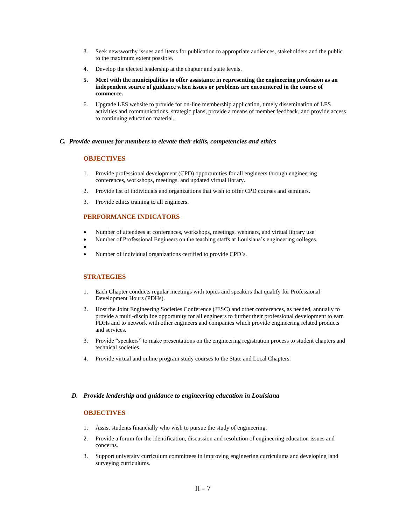- 3. Seek newsworthy issues and items for publication to appropriate audiences, stakeholders and the public to the maximum extent possible.
- 4. Develop the elected leadership at the chapter and state levels.
- **5. Meet with the municipalities to offer assistance in representing the engineering profession as an independent source of guidance when issues or problems are encountered in the course of commerce.**
- 6. Upgrade LES website to provide for on-line membership application, timely dissemination of LES activities and communications, strategic plans, provide a means of member feedback, and provide access to continuing education material.

#### *C. Provide avenues for members to elevate their skills, competencies and ethics*

# **OBJECTIVES**

- 1. Provide professional development (CPD) opportunities for all engineers through engineering conferences, workshops, meetings, and updated virtual library.
- 2. Provide list of individuals and organizations that wish to offer CPD courses and seminars.
- 3. Provide ethics training to all engineers.

#### **PERFORMANCE INDICATORS**

- Number of attendees at conferences, workshops, meetings, webinars, and virtual library use
- Number of Professional Engineers on the teaching staffs at Louisiana's engineering colleges.
- •
- Number of individual organizations certified to provide CPD's.

#### **STRATEGIES**

- 1. Each Chapter conducts regular meetings with topics and speakers that qualify for Professional Development Hours (PDHs).
- 2. Host the Joint Engineering Societies Conference (JESC) and other conferences, as needed, annually to provide a multi-discipline opportunity for all engineers to further their professional development to earn PDHs and to network with other engineers and companies which provide engineering related products and services.
- 3. Provide "speakers" to make presentations on the engineering registration process to student chapters and technical societies.
- 4. Provide virtual and online program study courses to the State and Local Chapters.

# *D. Provide leadership and guidance to engineering education in Louisiana*

# **OBJECTIVES**

- 1. Assist students financially who wish to pursue the study of engineering.
- 2. Provide a forum for the identification, discussion and resolution of engineering education issues and concerns.
- 3. Support university curriculum committees in improving engineering curriculums and developing land surveying curriculums.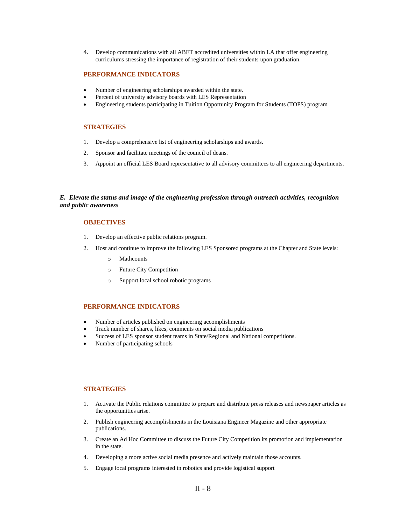4. Develop communications with all ABET accredited universities within LA that offer engineering curriculums stressing the importance of registration of their students upon graduation.

# **PERFORMANCE INDICATORS**

- Number of engineering scholarships awarded within the state.
- Percent of university advisory boards with LES Representation
- Engineering students participating in Tuition Opportunity Program for Students (TOPS) program

#### **STRATEGIES**

- 1. Develop a comprehensive list of engineering scholarships and awards.
- 2. Sponsor and facilitate meetings of the council of deans.
- 3. Appoint an official LES Board representative to all advisory committees to all engineering departments.

#### *E. Elevate the status and image of the engineering profession through outreach activities, recognition and public awareness*

#### **OBJECTIVES**

- 1. Develop an effective public relations program.
- 2. Host and continue to improve the following LES Sponsored programs at the Chapter and State levels:
	- o Mathcounts
	- o Future City Competition
	- o Support local school robotic programs

# **PERFORMANCE INDICATORS**

- Number of articles published on engineering accomplishments
- Track number of shares, likes, comments on social media publications
- Success of LES sponsor student teams in State/Regional and National competitions.
- Number of participating schools

#### **STRATEGIES**

- 1. Activate the Public relations committee to prepare and distribute press releases and newspaper articles as the opportunities arise.
- 2. Publish engineering accomplishments in the Louisiana Engineer Magazine and other appropriate publications.
- 3. Create an Ad Hoc Committee to discuss the Future City Competition its promotion and implementation in the state.
- 4. Developing a more active social media presence and actively maintain those accounts.
- 5. Engage local programs interested in robotics and provide logistical support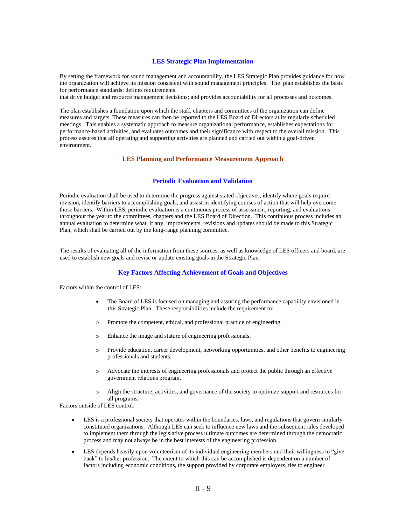# **LES Strategic Plan Implementation**

By setting the framework for sound management and accountability, the LES Strategic Plan provides guidance for how the organization will achieve its mission consistent with sound management principles. The plan establishes the basis for performance standards; defines requirements

that drive budget and resource management decisions; and provides accountability for all processes and outcomes.

The plan establishes a foundation upon which the staff, chapters and committees of the organization can define measures and targets. These measures can then be reported to the LES Board of Directors at its regularly scheduled meetings. This enables a systematic approach to measure organizational performance, establishes expectations for performance-based activities, and evaluates outcomes and their significance with respect to the overall mission. This process assures that all operating and supporting activities are planned and carried out within a goal-driven environment.

#### **LES Planning and Performance Measurement Approach**

#### **Periodic Evaluation and Validation**

Periodic evaluation shall be used to determine the progress against stated objectives, identify where goals require revision, identify barriers to accomplishing goals, and assist in identifying courses of action that will help overcome those barriers. Within LES, periodic evaluation is a continuous process of assessment, reporting, and evaluations throughout the year to the committees, chapters and the LES Board of Direction. This continuous process includes an annual evaluation to determine what, if any, improvements, revisions and updates should be made to this Strategic Plan, which shall be carried out by the long-range planning committee.

The results of evaluating all of the information from these sources, as well as knowledge of LES officers and board, are used to establish new goals and revise or update existing goals in the Strategic Plan.

#### **Key Factors Affecting Achievement of Goals and Objectives**

Factors within the control of LES:

- The Board of LES is focused on managing and assuring the performance capability envisioned in this Strategic Plan. These responsibilities include the requirement to:
- o Promote the competent, ethical, and professional practice of engineering.
- o Enhance the image and stature of engineering professionals.
- o Provide education, career development, networking opportunities, and other benefits to engineering professionals and students.
- o Advocate the interests of engineering professionals and protect the public through an effective government relations program.
- o Align the structure, activities, and governance of the society to optimize support and resources for all programs.

Factors outside of LES control:

- LES is a professional society that operates within the boundaries, laws, and regulations that govern similarly constituted organizations. Although LES can seek to influence new laws and the subsequent rules developed to implement them through the legislative process ultimate outcomes are determined through the democratic process and may not always be in the best interests of the engineering profession.
- LES depends heavily upon volunteerism of its individual engineering members and their willingness to "give" back" to his/her profession. The extent to which this can be accomplished is dependent on a number of factors including economic conditions, the support provided by corporate employers, ties to engineer